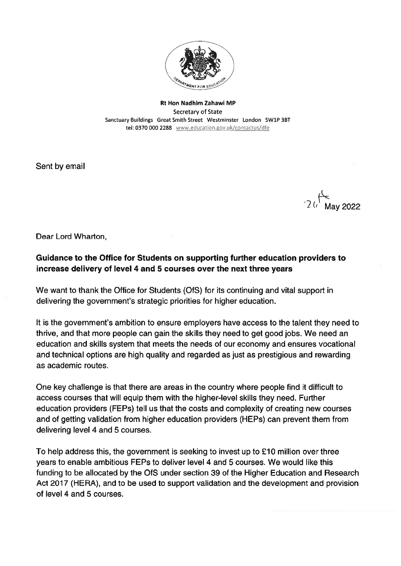

Rt Hon Nadhim Zahawi MP Secretary of State Sanctuary Buildings Great Smith Street Westminster London SW1P 3BT tel: 0370 000 2288 www.education.gov.uk/contactus/dfe

Sent by email

 $2$   $\left\langle \cdot \right\rangle$  May 2022

Dear Lord Wharton,

## Guidance to the Office for Students on supporting further education providers to increase delivery of level 4 and 5 courses over the next three years

We want to thank the Office for Students (OfS) for its continuing and vital suppor<sup>t</sup> in delivering the government's strategic priorities for higher education.

It is the government's ambition to ensure employers have access to the talent they need to thrive, and that more people can gain the skills they need to ge<sup>t</sup> good jobs. We need an education and skills system that meets the needs of our economy and ensures vocational and technical options are high quality and regarded as just as prestigious and rewarding as academic routes.

One key challenge is that there are areas in the country where people find it difficult to access courses that will equip them with the higher-level skills they need. Further education providers (FEP5) tell us that the costs and complexity of creating new courses and of getting validation from higher education providers (HEPs) can preven<sup>t</sup> them from delivering level 4 and 5 courses.

To help address this, the governmen<sup>t</sup> is seeking to invest up to £10 million over three years to enable ambitious FEPs to deliver level 4 and 5 courses. We would like this funding to be allocated by the OfS under section 39 of the Higher Education and Research Act 2017 (HERA), and to be used to suppor<sup>t</sup> validation and the development and provision of level 4 and 5 courses.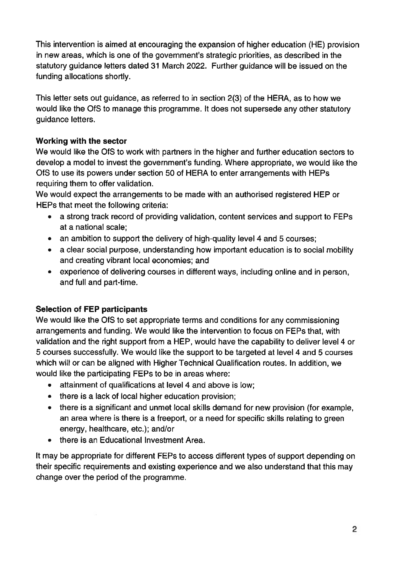This intervention is aimed at encouraging the expansion of higher education (HE) provision in new areas, which is one of the government's strategic priorities, as described in the statutory guidance letters dated 31 March 2022. Further guidance will be issued on the funding allocations shortly.

This letter sets out guidance, as referred to in section 2(3) of the HERA, as to how we would like the OfS to manage this programme. It does not supersede any other statutory guidance letters.

## Working with the sector

We would like the OfS to work with partners in the higher and further education sectors to develop <sup>a</sup> model to invest the government's funding. Where appropriate, we would like the OfS to use its powers under section 50 of HERA to enter arrangements with HEPs requiring them to offer validation.

We would expec<sup>t</sup> the arrangements to be made with an authorised registered HEP or HEPs that meet the following criteria:

- <sup>a</sup> strong track record of providing validation, content services and suppor<sup>t</sup> to FEPs at <sup>a</sup> national scale;
- $\bullet$   $\;$  an ambition to support the delivery of high-quality level 4 and 5 courses
- <sup>a</sup> clear social purpose, understanding how important education is to social mobility and creating vibrant local economies; and
- experience of delivering courses in different ways, including online and in person, and full and part-time.

## Selection of FEP participants

We would like the OfS to set appropriate terms and conditions for any commissioning arrangements and funding. We would like the intervention to focus on FEPs that, with validation and the right suppor<sup>t</sup> from <sup>a</sup> HEP, would have the capability to deliver level 4 or 5 courses successfully. We would like the suppor<sup>t</sup> to be targeted at level 4 and 5 courses which will or can be aligned with Higher Technical Qualification routes. In addition, we would like the participating FEPs to be in areas where:

- attainment of qualifications at level 4 and above is low;
- there is <sup>a</sup> lack of local higher education provision;
- there is <sup>a</sup> significant and unmet local skills demand for new provision (for example, an area where is there is <sup>a</sup> freeport, or <sup>a</sup> need for specific skills relating to green energy, healthcare, etc.); and/or
- there is an Educational Investment Area.

It may be appropriate for different FEPs to access different types of suppor<sup>t</sup> depending on their specific requirements and existing experience and we also understand that this may change over the period of the programme.